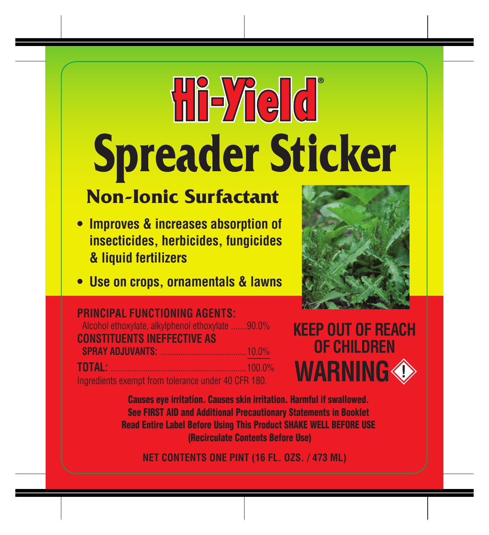# **Hi-Yield Spreader Sticker**

# **Non-Ionic Surfactant**

- **Improves & increases absorption of insecticides, herbicides, fungicides & liquid fertilizers**
- **• Use on crops, ornamentals & lawns**



| <b>PRINCIPAL FUNCTIONING AGENTS:</b>                |  |
|-----------------------------------------------------|--|
| Alcohol ethoxylate, alkylphenol ethoxylate 90.0%    |  |
| <b>CONSTITUENTS INEFFECTIVE AS</b>                  |  |
|                                                     |  |
| <b>TOTAL:</b> 100.0%                                |  |
| Ingredients exempt from tolerance under 40 CFR 180. |  |



Causes eye irritation. Causes skin irritation. Harmful if swallowed. See FIRST AID and Additional Precautionary Statements in Booklet Read Entire Label Before Using This Product SHAKE WELL BEFORE USE (Recirculate Contents Before Use)

**NET CONTENTS ONE PINT (16 FL. OZS. / 473 ML)**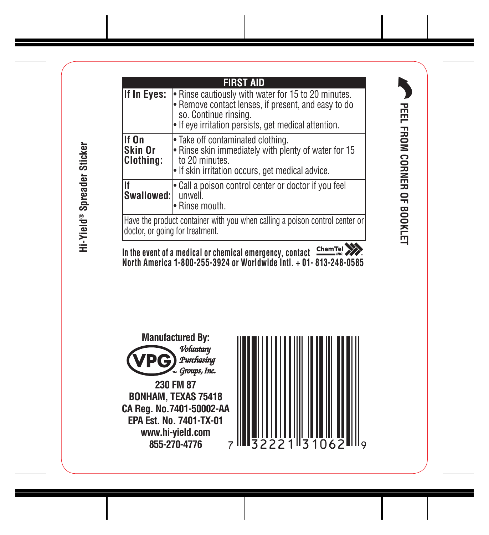Hi-Yield® Spreader Sticker **Hi-Yield® Spreader Sticker**

|                                                                                                                 | <b>FIRST AID</b>                                                                                                                                                                            |
|-----------------------------------------------------------------------------------------------------------------|---------------------------------------------------------------------------------------------------------------------------------------------------------------------------------------------|
| If In Eyes:                                                                                                     | . Rinse cautiously with water for 15 to 20 minutes.<br>· Remove contact lenses, if present, and easy to do<br>so. Continue rinsina.<br>• If eye irritation persists, get medical attention. |
| lf On<br>Skin Or<br><b>Clothing:</b>                                                                            | • Take off contaminated clothing.<br>. Rinse skin immediately with plenty of water for 15<br>to 20 minutes.<br>• If skin irritation occurs, get medical advice.                             |
| Swallowed:                                                                                                      | • Call a poison control center or doctor if you feel<br>unwell.<br>· Rinse mouth.                                                                                                           |
| Have the product container with you when calling a poison control center or<br>Idoctor, or going for treatment. |                                                                                                                                                                                             |
|                                                                                                                 |                                                                                                                                                                                             |

**In the event of a medical or chemical emergency, contact North America 1-800-255-3924 or Worldwide Intl. + 01- 813-248-0585**



**230 FM 87 BONHAM, TEXAS 75418 CA Reg. No.7401-50002-AA EPA Est. No. 7401-TX-01 www.hi-yield.com 855-270-4776**



**PEEL FROM CORNER OF BOOKLET**

PEEL FROM CORNER OF BOOKLET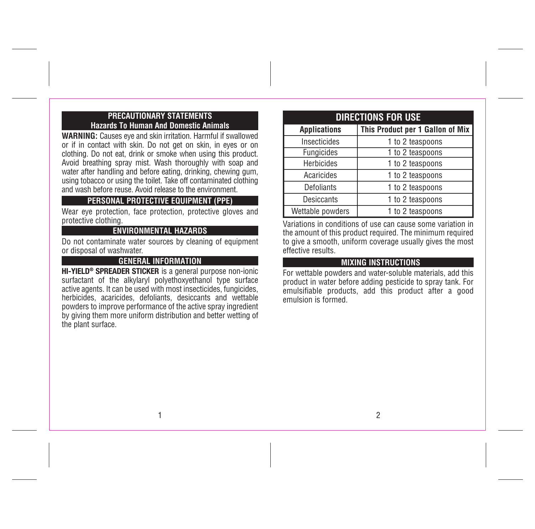#### **PRECAUTIONARY STATEMENTS Hazards To Human And Domestic Animals**

**WARNING:** Causes eye and skin irritation. Harmful if swallowed or if in contact with skin. Do not get on skin, in eyes or on clothing. Do not eat, drink or smoke when using this product. Avoid breathing spray mist. Wash thoroughly with soap and water after handling and before eating, drinking, chewing gum, using tobacco or using the toilet. Take off contaminated clothing and wash before reuse. Avoid release to the environment.

## **PERSONAL PROTECTIVE EQUIPMENT (PPE)**

Wear eye protection, face protection, protective gloves and protective clothing.

#### **ENVIRONMENTAL HAZARDS**

Do not contaminate water sources by cleaning of equipment or disposal of washwater.

## **GENERAL INFORMATION**

HI-YIELD® SPREADER STICKER is a general purpose non-ionic surfactant of the alkylaryl polyethoxyethanol type surface active agents. It can be used with most insecticides, fungicides, herbicides, acaricides, defoliants, desiccants and wettable powders to improve performance of the active spray ingredient by giving them more uniform distribution and better wetting of the plant surface.

# **DIRECTIONS FOR USE Applications This Product per 1 Gallon of Mix**  Insecticides | 1 to 2 teaspoons Fungicides 1 to 2 teaspoons Herbicides 1 to 2 teaspoons Acaricides 1 to 2 teaspoons Defoliants | 1 to 2 teaspoons Desiccants 1 to 2 teaspoons Wettable powders 1 to 2 teaspoons

Variations in conditions of use can cause some variation in the amount of this product required. The minimum required to give a smooth, uniform coverage usually gives the most effective results.

# **. MIXING INSTRUCTIONS**

For wettable powders and water-soluble materials, add this product in water before adding pesticide to spray tank. For emulsifiable products, add this product after a good emulsion is formed.

1

2